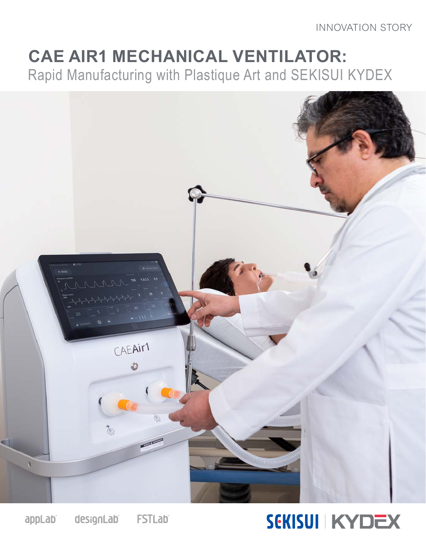### **CAE AIR1 MECHANICAL VENTILATOR:** Rapid Manufacturing with Plastique Art and SEKISUI KYDEX



designLab **FSTLab** appLab<sup>®</sup>

### **SEKISUI KYDEX**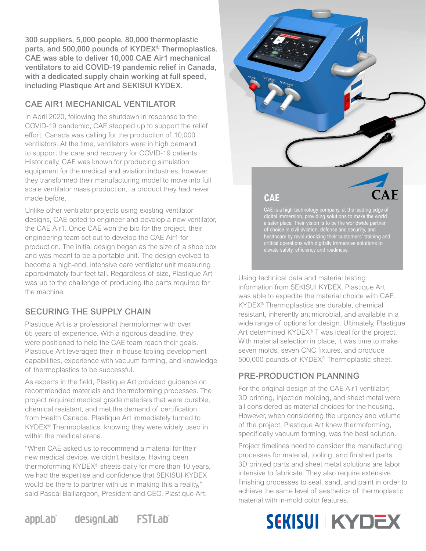300 suppliers, 5,000 people, 80,000 thermoplastic parts, and 500,000 pounds of KYDEX® Thermoplastics. CAE was able to deliver 10,000 CAE Air1 mechanical ventilators to aid COVID-19 pandemic relief in Canada, with a dedicated supply chain working at full speed, including Plastique Art and SEKISUI KYDEX.

#### CAE AIR1 MECHANICAL VENTILATOR

In April 2020, following the shutdown in response to the COVID-19 pandemic, CAE stepped up to support the relief effort. Canada was calling for the production of 10,000 ventilators. At the time, ventilators were in high demand to support the care and recovery for COVID-19 patients. Historically, CAE was known for producing simulation equipment for the medical and aviation industries, however they transformed their manufacturing model to move into full scale ventilator mass production, a product they had never made before.

Unlike other ventilator projects using existing ventilator designs, CAE opted to engineer and develop a new ventilator, the CAE Air1. Once CAE won the bid for the project, their engineering team set out to develop the CAE Air1 for production. The initial design began as the size of a shoe box and was meant to be a portable unit. The design evolved to become a high-end, intensive care ventilator unit measuring approximately four feet tall. Regardless of size, Plastique Art was up to the challenge of producing the parts required for the machine.

#### SECURING THE SUPPLY CHAIN

Plastique Art is a professional thermoformer with over 65 years of experience. With a rigorous deadline, they were positioned to help the CAE team reach their goals. Plastique Art leveraged their in-house tooling development capabilities, experience with vacuum forming, and knowledge of thermoplastics to be successful.

As experts in the field, Plastique Art provided guidance on recommended materials and thermoforming processes. The project required medical grade materials that were durable, chemical resistant, and met the demand of certification from Health Canada. Plastique Art immediately turned to KYDEX® Thermoplastics, knowing they were widely used in within the medical arena.

"When CAE asked us to recommend a material for their new medical device, we didn't hesitate. Having been thermoforming KYDEX® sheets daily for more than 10 years, we had the expertise and confidence that SEKISUI KYDEX would be there to partner with us in making this a reality," said Pascal Baillargeon, President and CEO, Plastique Art.



digital immersion, providing solutions to make the world a safer place. Their vision is to be the worldwide partner of choice in civil aviation, defense and security, and healthcare by revolutionizing their customers' training and

Using technical data and material testing information from SEKISUI KYDEX, Plastique Art was able to expedite the material choice with CAE. KYDEX® Thermoplastics are durable, chemical resistant, inherently antimicrobial, and available in a wide range of options for design. Ultimately, Plastique Art determined KYDEX® T was ideal for the project. With material selection in place, it was time to make seven molds, seven CNC fixtures, and produce 500,000 pounds of KYDEX® Thermoplastic sheet.

#### PRE-PRODUCTION PLANNING

For the original design of the CAE Air1 ventilator; 3D printing, injection molding, and sheet metal were all considered as material choices for the housing. However, when considering the urgency and volume of the project, Plastique Art knew thermoforming, specifically vacuum forming, was the best solution.

Project timelines need to consider the manufacturing processes for material, tooling, and finished parts. 3D printed parts and sheet metal solutions are labor intensive to fabricate. They also require extensive finishing processes to seal, sand, and paint in order to achieve the same level of aesthetics of thermoplastic material with in-mold color features.

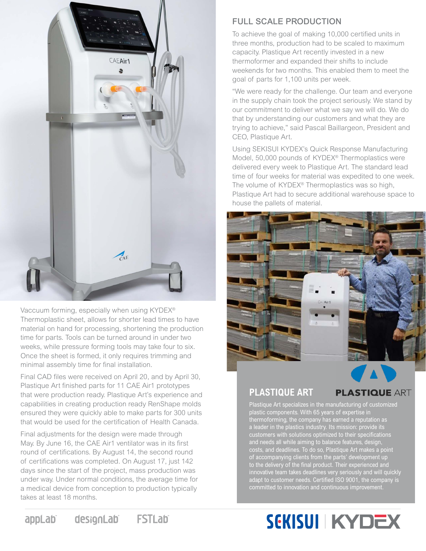

Vaccuum forming, especially when using KYDEX® Thermoplastic sheet, allows for shorter lead times to have material on hand for processing, shortening the production time for parts. Tools can be turned around in under two weeks, while pressure forming tools may take four to six. Once the sheet is formed, it only requires trimming and minimal assembly time for final installation.

Final CAD files were received on April 20, and by April 30, Plastique Art finished parts for 11 CAE Air1 prototypes that were production ready. Plastique Art's experience and capabilities in creating production ready RenShape molds ensured they were quickly able to make parts for 300 units that would be used for the certification of Health Canada.

Final adjustments for the design were made through May. By June 16, the CAE Air1 ventilator was in its first round of certifications. By August 14, the second round of certifications was completed. On August 17, just 142 days since the start of the project, mass production was under way. Under normal conditions, the average time for a medical device from conception to production typically takes at least 18 months.

#### FULL SCALE PRODUCTION

To achieve the goal of making 10,000 certified units in three months, production had to be scaled to maximum capacity. Plastique Art recently invested in a new thermoformer and expanded their shifts to include weekends for two months. This enabled them to meet the goal of parts for 1,100 units per week.

"We were ready for the challenge. Our team and everyone in the supply chain took the project seriously. We stand by our commitment to deliver what we say we will do. We do that by understanding our customers and what they are trying to achieve," said Pascal Baillargeon, President and CEO, Plastique Art.

Using SEKISUI KYDEX's Quick Response Manufacturing Model, 50,000 pounds of KYDEX® Thermoplastics were delivered every week to Plastique Art. The standard lead time of four weeks for material was expedited to one week. The volume of KYDEX<sup>®</sup> Thermoplastics was so high, Plastique Art had to secure additional warehouse space to house the pallets of material.



#### **PLASTIQUE ART**

#### **PLASTIQUE ART**

Plastique Art specializes in the manufacturing of customized plastic components. With 65 years of expertise in thermoforming, the company has earned a reputation as a leader in the plastics industry. Its mission: provide its customers with solutions optimized to their specifications and needs all while aiming to balance features, design, costs, and deadlines. To do so, Plastique Art makes a point of accompanying clients from the parts' development up to the delivery of the final product. Their experienced and innovative team takes deadlines very seriously and will quickly adapt to customer needs. Certified ISO 9001, the company is committed to innovation and continuous improvement.

## **SEKISUI KYDEX**